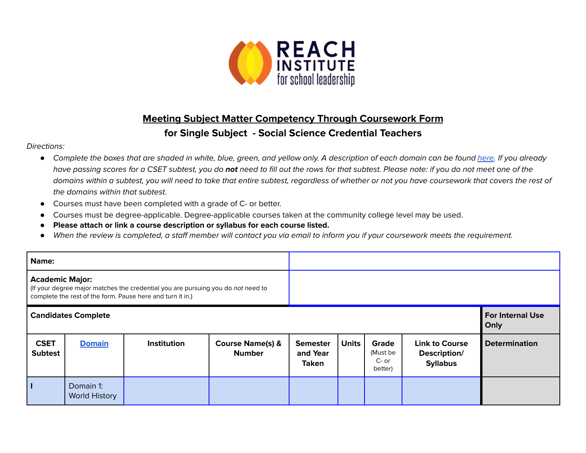

## **Meeting Subject Matter Competency Through Coursework Form for Single Subject - Social Science Credential Teachers**

## Directions:

- *●* Complete the boxes that are shaded in white, blue, green, and yellow only. A description of each domain can be found [here.](https://www.ctc.ca.gov/docs/default-source/educator-prep/files/domains-of-subject-matter-requirements.pdf?sfvrsn=dcd525b1_2) If you already have passing scores for a CSET subtest, you do **not** need to fill out the rows for that subtest. Please note: if you do not meet one of the domains within a subtest, you will need to take that entire subtest, regardless of whether or not you have coursework that covers the rest of the domains within that subtest.
- *●* Courses must have been completed with a grade of C- or better.
- Courses must be degree-applicable. Degree-applicable courses taken at the community college level may be used.
- *●* **Please attach or link a course description or syllabus for each course listed.**
- *●* When the review is completed, a staff member will contact you via email to inform you if your coursework meets the requirement.

| Name:                                                                                                                                                                    |                                   |             |                                              |                                             |                                 |                                         |                                                          |                      |
|--------------------------------------------------------------------------------------------------------------------------------------------------------------------------|-----------------------------------|-------------|----------------------------------------------|---------------------------------------------|---------------------------------|-----------------------------------------|----------------------------------------------------------|----------------------|
| <b>Academic Major:</b><br>(If your degree major matches the credential you are pursuing you do not need to<br>complete the rest of the form. Pause here and turn it in.) |                                   |             |                                              |                                             |                                 |                                         |                                                          |                      |
| <b>Candidates Complete</b>                                                                                                                                               |                                   |             |                                              |                                             | <b>For Internal Use</b><br>Only |                                         |                                                          |                      |
| <b>CSET</b><br><b>Subtest</b>                                                                                                                                            | <b>Domain</b>                     | Institution | <b>Course Name(s) &amp;</b><br><b>Number</b> | <b>Semester</b><br>and Year<br><b>Taken</b> | <b>Units</b>                    | Grade<br>(Must be<br>$C-$ or<br>better) | <b>Link to Course</b><br>Description/<br><b>Syllabus</b> | <b>Determination</b> |
|                                                                                                                                                                          | Domain 1:<br><b>World History</b> |             |                                              |                                             |                                 |                                         |                                                          |                      |